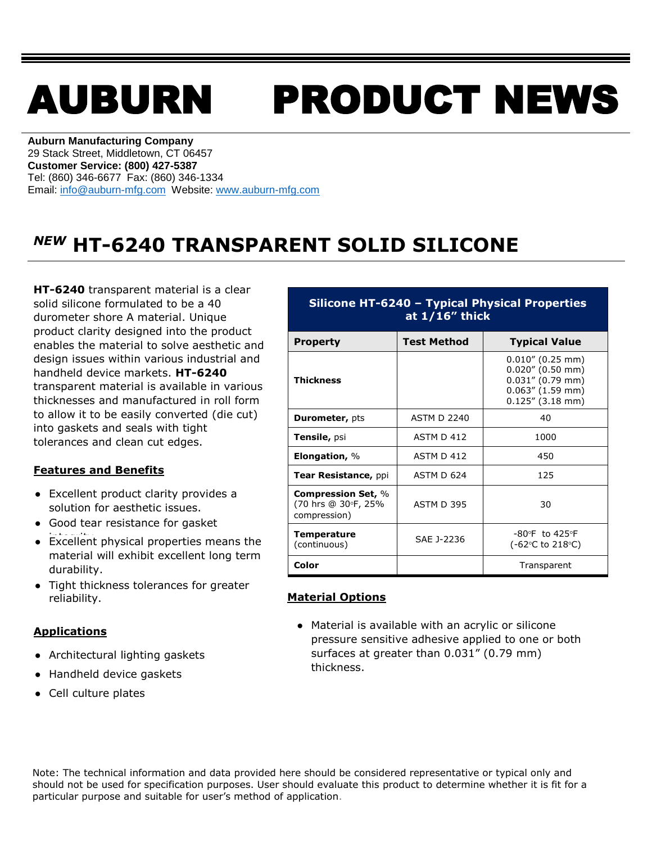# AUBURN PRODUCT NEWS

**Auburn Manufacturing Company** 29 Stack Street, Middletown, CT 06457 **Customer Service: (800) 427-5387** Tel: (860) 346-6677 Fax: (860) 346-1334 Email: [info@auburn-mfg.com](mailto:info@auburn-mfg.com) Website: [www.auburn-mfg.com](http://www.auburn-mfg.com/)

## *NEW* **HT-6240 TRANSPARENT SOLID SILICONE**

**HT-6240** transparent material is a clear solid silicone formulated to be a 40 durometer shore A material. Unique product clarity designed into the product enables the material to solve aesthetic and design issues within various industrial and handheld device markets. **HT-6240** transparent material is available in various thicknesses and manufactured in roll form to allow it to be easily converted (die cut) into gaskets and seals with tight tolerances and clean cut edges.

#### **Features and Benefits**

- **●** Excellent product clarity provides a solution for aesthetic issues.
- **●** Good tear resistance for gasket
- **•** Excellent physical properties means the material will exhibit excellent long term durability.
- **●** Tight thickness tolerances for greater reliability.

#### **Applications**

- **●** Architectural lighting gaskets
- **●** Handheld device gaskets
- **●** Cell culture plates

| Silicone HT-6240 - Typical Physical Properties<br>at $1/16$ " thick |                                            |                                                                                                                 |  |  |  |  |
|---------------------------------------------------------------------|--------------------------------------------|-----------------------------------------------------------------------------------------------------------------|--|--|--|--|
| <b>Property</b>                                                     | <b>Test Method</b><br><b>Typical Value</b> |                                                                                                                 |  |  |  |  |
| Thickness                                                           |                                            | $0.010''$ (0.25 mm)<br>$0.020''$ (0.50 mm)<br>$0.031''$ (0.79 mm)<br>$0.063''$ (1.59 mm)<br>$0.125''$ (3.18 mm) |  |  |  |  |
| <b>Durometer, pts</b>                                               | <b>ASTM D 2240</b>                         | 40                                                                                                              |  |  |  |  |
| Tensile, psi                                                        | <b>ASTM D 412</b>                          | 1000                                                                                                            |  |  |  |  |
| Elongation, $\%$                                                    | ASTM D 412                                 | 450                                                                                                             |  |  |  |  |
| Tear Resistance, ppi                                                | ASTM D 624                                 | 125                                                                                                             |  |  |  |  |
| <b>Compression Set, %</b><br>(70 hrs @ 30°F, 25%<br>compression)    | <b>ASTM D 395</b>                          | 30                                                                                                              |  |  |  |  |
| <b>Temperature</b><br>(continuous)                                  | SAE J-2236                                 | $-80^{\circ}$ F to 425 $^{\circ}$ F<br>$(-62$ °C to 218°C)                                                      |  |  |  |  |
| Color                                                               |                                            | Transparent                                                                                                     |  |  |  |  |

### **Material Options**

**●** Material is available with an acrylic or silicone pressure sensitive adhesive applied to one or both surfaces at greater than 0.031" (0.79 mm) thickness.

Note: The technical information and data provided here should be considered representative or typical only and should not be used for specification purposes. User should evaluate this product to determine whether it is fit for a particular purpose and suitable for user's method of application.